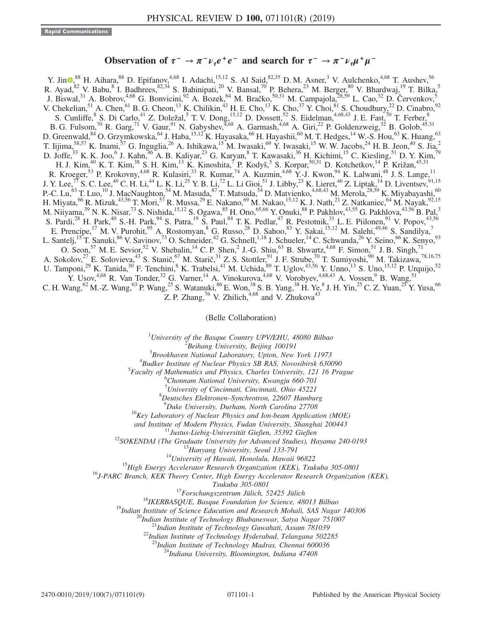# Observation of  $\tau^- \to \pi^- \nu_\tau e^+ e^-$  and search for  $\tau^- \to \pi^- \nu_\tau \mu^+ \mu^-$

Y. Jin  $\bullet$ ,<sup>88</sup> H. Aihara,<sup>88</sup> D. Epifanov,<sup>4,68</sup> I. Adachi,<sup>15,12</sup> S. Al Said,<sup>82,35</sup> D. M. Asner,<sup>3</sup> V. Aulchenko,<sup>4,68</sup> T. Aushev,<sup>56</sup> R. Ayad,  $82$  V. Babu,  $8$  I. Badhrees,  $82,34$  S. Bahinipati,  $20$  V. Bansal,  $70$  P. Behera,  $23$  M. Berger,  $80$  V. Bhardwaj,  $19$  T. Bilka,  $5$ J. Biswal,<sup>31</sup> A. Bobrov,<sup>4,68</sup> G. Bonvicini,<sup>92</sup> A. Bozek,<sup>64</sup> M. Bračko,<sup>50,31</sup> M. Campajola,<sup>28,59</sup> L. Cao,<sup>32</sup> D. Červenkov,<sup>5</sup> V. Chekelian,<sup>51</sup> A. Chen,<sup>61</sup> B. G. Cheon,<sup>13</sup> K. Chilikin,<sup>43</sup> H. E. Cho,<sup>13</sup> K. Cho,<sup>37</sup> Y. Choi,<sup>81</sup> S. Choudhury,<sup>22</sup> D. Cinabro,<sup>92</sup> S. Cunliffe,  $8$  S. Di Carlo,  $41$  Z. Doležal,  $5$  T. V. Dong,  $15,12$  D. Dossett,  $52$  S. Eidelman,  $4,68,43$  J. E. Fast,  $70$  T. Ferber,  $8$ B. G. Fulsom,<sup>70</sup> R. Garg,<sup>71</sup> V. Gaur,<sup>91</sup> N. Gabyshev,<sup>4,68</sup> A. Garmash,<sup>4,68</sup> A. Giri,<sup>22</sup> P. Goldenzweig,<sup>32</sup> B. Golob,<sup>45,31</sup> D. Greenwald, <sup>84</sup> O. Grzymkowska, <sup>64</sup> J. Haba, <sup>15,12</sup> K. Hayasaka, <sup>66</sup> H. Hayashii, <sup>60</sup> M. T. Hedges, <sup>14</sup> W.-S. Hou, <sup>63</sup> K. Huang, <sup>63</sup> T. Iijima, $^{58,57}$  K. Inami, $^{57}$  G. Inguglia, $^{26}$  A. Ishikawa, $^{15}$ M. Iwasaki, $^{69}$  Y. Iwasaki, $^{15}$  W. W. Jacobs, $^{24}$  H. B. Jeon, $^{40}$  S. Jia, $^{2}$ D. Joffe,<sup>33</sup> K. K. Joo,<sup>6</sup> J. Kahn,<sup>46</sup> A. B. Kaliyar,<sup>23</sup> G. Karyan,<sup>8</sup> T. Kawasaki,<sup>36</sup> H. Kichimi,<sup>15</sup> C. Kiesling,<sup>51</sup> D. Y. Kim,<sup>79</sup> H. J. Kim, <sup>40</sup> K. T. Kim, <sup>38</sup> S. H. Kim, <sup>13</sup> K. Kinoshita, <sup>7</sup> P. Kodyš, <sup>5</sup> S. Korpar, <sup>50,31</sup> D. Kotchetkov, <sup>14</sup> P. Križan, <sup>45,31</sup> R. Kroeger,<sup>53</sup> P. Krokovny,<sup>4,68</sup> R. Kulasiri,<sup>33</sup> R. Kumar,<sup>74</sup> A. Kuzmin,<sup>4,68</sup> Y.-J. Kwon,<sup>94</sup> K. Lalwani,<sup>48</sup> J. S. Lange,<sup>11</sup> J. Y. Lee,<sup>77</sup> S. C. Lee,<sup>40</sup> C. H. Li,<sup>44</sup> L. K. Li,<sup>25</sup> Y. B. Li,<sup>72</sup> L. Li Gioi,<sup>51</sup> J. Libby,<sup>23</sup> K. Lieret,<sup>46</sup> Z. Liptak,<sup>14</sup> D. Liventsev,<sup>91,15</sup> P.-C. Lu,<sup>63</sup> T. Luo,<sup>10</sup> J. MacNaughton,<sup>54</sup> M. Masuda,<sup>87</sup> T. Matsuda,<sup>54</sup> D. Matvienko,<sup>4,68,43</sup> M. Merola,<sup>28,59</sup> K. Miyabayashi,<sup>60</sup> H. Miyata,<sup>66</sup> R. Mizuk,<sup>43,56</sup> T. Mori,<sup>57</sup> R. Mussa,<sup>29</sup> E. Nakano,<sup>69</sup> M. Nakao,<sup>15,12</sup> K. J. Nath,<sup>21</sup> Z. Natkaniec,<sup>64</sup> M. Nayak,<sup>92,15</sup> M. Niiyama,<sup>39</sup> N. K. Nisar,<sup>73</sup> S. Nishida,<sup>15,12</sup> S. Ogawa,<sup>85</sup> H. Ono,<sup>65,66</sup> Y. Onuki,<sup>88</sup> P. Pakhlov,<sup>43,55</sup> G. Pakhlova,<sup>43,56</sup> B. Pal,<sup>3</sup> S. Pardi,<sup>28</sup> H. Park,<sup>40</sup> S.-H. Park,<sup>94</sup> S. Patra,<sup>19</sup> S. Paul,<sup>84</sup> T. K. Pedlar,<sup>47</sup> R. Pestotnik,<sup>31</sup> L. E. Piilonen,<sup>91</sup> V. Popov,<sup>43,56</sup> E. Prencipe,  $^{17}$  M. V. Purohit,  $^{95}$  A. Rostomyan,  $^8$  G. Russo,  $^{28}$  D. Sahoo,  $^{83}$  Y. Sakai,  $^{15,12}$  M. Salehi,  $^{49,46}$  S. Sandilya,  $^7$ L. Santelj,<sup>15</sup>T. Sanuki,<sup>86</sup> V. Savinov,<sup>73</sup> O. Schneider,<sup>42</sup> G. Schnell,<sup>1,18</sup> J. Schueler,<sup>14</sup> C. Schwanda,<sup>26</sup> Y. Seino,<sup>66</sup> K. Senyo,<sup>93</sup> O. Seon,<sup>57</sup> M. E. Sevior,<sup>52</sup> V. Shebalin,<sup>14</sup> C. P. Shen,<sup>2</sup> J.-G. Shiu,<sup>63</sup> B. Shwartz,<sup>4,68</sup> F. Simon,<sup>51</sup> J. B. Singh,<sup>71</sup> A. Sokolov,  $2^7$  E. Solovieva,  $4^3$  S. Stanič,  $6^7$  M. Starič,  $3^1$  Z. S. Stottler,  $9^1$  J. F. Strube,  $7^0$  T. Sumiyoshi,  $9^0$  M. Takizawa,  $78,16,75$ U. Tamponi,<sup>29</sup> K. Tanida,<sup>30</sup> F. Tenchini,<sup>8</sup> K. Trabelsi,<sup>41</sup> M. Uchida,<sup>89</sup> T. Uglov,<sup>43,56</sup> Y. Unno,<sup>13</sup> S. Uno,<sup>15,12</sup> P. Urquijo,<sup>52</sup> Y. Usov,<sup>4,68</sup> R. Van Tonder,<sup>32</sup> G. Varner,<sup>14</sup> A. Vinokurova,<sup>4,68</sup> V. Vorobyev,<sup>4,68,43</sup> A. Vossen,<sup>9</sup> B. Wang,<sup>51</sup> C. H. Wang,  $^{62}$  M.-Z. Wang,  $^{63}$  P. Wang,  $^{25}$  S. Watanuki,  $^{86}$  E. Won,  $^{38}$  S. B. Yang,  $^{38}$  H. Ye,  $^{8}$  J. H. Yin,  $^{25}$  C. Z. Yuan,  $^{25}$  Y. Yusa,  $^{66}$ Z. P. Zhang,<sup>76</sup> V. Zhilich,<sup>4,68</sup> and V. Zhukova<sup>43</sup>

(Belle Collaboration)

<sup>1</sup>University of the Basque Country UPV/EHU, 48080 Bilbao  $\frac{2 \text{ B} \text{g}}{2 \text{ B} \text{g}}$  Library University, Bailing 100101

 ${}^{2}$ Beihang University, Beijing 100191

 $3B$ rookhaven National Laboratory, Upton, New York 11973

 ${}^{4}$ Budker Institute of Nuclear Physics SB RAS, Novosibirsk 630090

 ${}^{5}$ Faculty of Mathematics and Physics, Charles University, 121 16 Prague

Chonnam National University, Kwangju 660-701

<sup>7</sup> University of Cincinnati, Cincinnati, Ohio 45221<sup>8</sup> Dautsches, Elektronan, Synghretran, 22607, Hambu-

 ${}^{8}$ Deutsches Elektronen–Synchrotron, 22607 Hamburg  ${}^{9}$ Duke University, Durham, North Carolina 27708

 $10$ Key Laboratory of Nuclear Physics and Ion-beam Application (MOE)

and Institute of Modern Physics, Fudan University, Shanghai 200443<br><sup>11</sup>Justus-Liebig-Universität Gießen, 35392 Gießen<br><sup>12</sup>SOKENDAI (The Graduate University for Advanced Studies), Hayama 240-0193<br><sup>13</sup>Hanyang University, Se

Tsukuba 305-0801<br><sup>17</sup>Forschungszentrum Jülich, 52425 Jülich<br><sup>18</sup>IKERBASQUE, Basque Foundation for Science, 48013 Bilbao<br><sup>19</sup>Indian Institute of Science Education and Research Mohali, SAS Nagar 140306<br><sup>20</sup>Indian Institute o

<sup>3</sup>Indian Institute of Technology Madras, Chennai 600036<br><sup>24</sup>Indiana University, Bloomington, Indiana 47408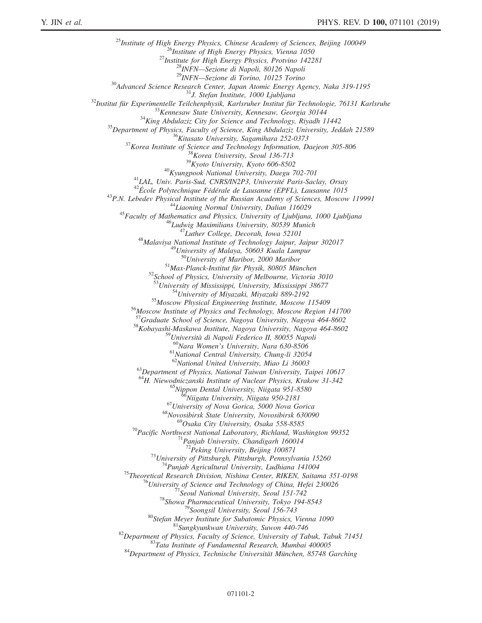$\begin{small} \mathbf{^{23}T}_{\text{Institute of High Energy Physics, Chinese Academy of Sciences, Beijing 100049} \\\ \textbf{^{25}T}_{\text{Institute of High Energy Physics, Perioding 100049} \\\textbf{^{26}T}_{\text{Institute for High Energy Physics, Perioding 1025} \\\textbf{^{27}T}_{\text{Institute for High Energy Physics, Protocol } 10225} \\\textbf{^{28}T}_{\text{INIFY}\_\textbf{^{27}C} \text{^{27}C} \text{^{27}C} \text{^{27}C} \text{^{27}C} \text{^{27}C} \text{^{27}C} \text{^{27}C}$ <sup>52</sup>School of Physics, University of Melbourne, Victoria 3010<br><sup>53</sup>University of Mississippi, University, Mississippi 38677<br><sup>54</sup>University of Miyazaki, Miyazaki 889-2192<br><sup>55</sup>Moscow Institute of Physics and Technology, Mosc <sup>58</sup>Kobayashi-Maskawa Institute, Nagoya University, Nagoya 464-8602<br><sup>59</sup>Università di Napoli Federico II, 80055 Napoli  $^{60}$ Nara Women's University, Nara 630-8506<br> $^{61}$ National Central University, Chung-li 32054<br> $^{62}$ National United University, Miao Li 36003 <sup>63</sup>Department of Physics, National Taiwan University, Taipei 10617 <sup>64</sup>H. Niewodniczanski Institute of Nuclear Physics, Krakow 31-342<br><sup>65</sup>Nippon Dental University, Niigata 951-8580<br><sup>66</sup>Niigata University, Niigata 950-2181<br><sup>67</sup>University of Nova Gorica, 5000 Nova Gorica<br><sup>68</sup>Novosibirsk St <sup>70</sup>Pacific Northwest National Laboratory, Richland, Washington 99352<br><sup>71</sup>Panjab University, Chandigarh 160014<br><sup>72</sup>Peking University, Beijing 100871 <sup>73</sup> University, Beijing 100871<br>
<sup>73</sup> University of Pittsburgh, Pittsburgh, Pennsylvania 15260<br>
<sup>74</sup> Punjab Agricultural University, Ludhiana 141004<br>
<sup>75</sup> Theoretical Research Division, Nishina Center, RIKEN, Saitama 351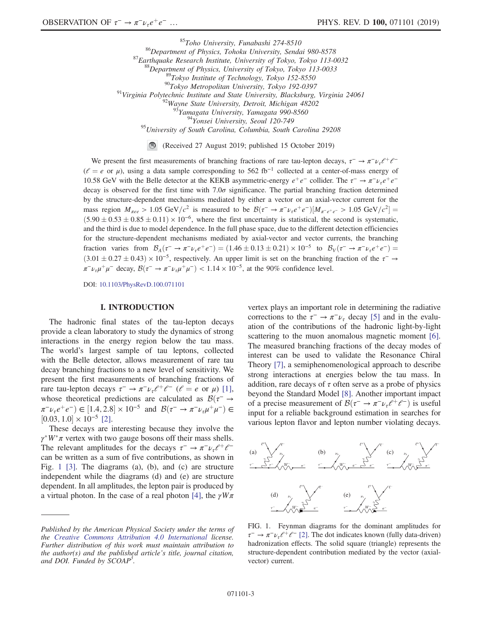<sup>85</sup>Toho University, Funabashi 274-8510<br><sup>86</sup>Department of Physics, Tohoku University, Sendai 980-8578<br><sup>87</sup>Earthquake Research Institute, University of Tokyo, Tokyo 113-0032<br><sup>89</sup>Tokyo Institute of Technology, Tokyo 152-855 <sup>95</sup>University of South Carolina, Columbia, South Carolina 29208

(Received 27 August 2019; published 15 October 2019)

We present the first measurements of branching fractions of rare tau-lepton decays,  $\tau^- \to \pi^- \nu_\tau \ell^+ \ell^ (l = e \text{ or } \mu)$ , using a data sample corresponding to 562 fb<sup>-1</sup> collected at a center-of-mass energy of 10.58 GeV with the Belle detector at the KEKB asymmetric-energy  $e^+e^-$  collider. The  $\tau^- \to \pi^- \nu_\tau e^+e^$ decay is observed for the first time with 7.0 $\sigma$  significance. The partial branching fraction determined by the structure-dependent mechanisms mediated by either a vector or an axial-vector current for the mass region  $M_{\pi ee} > 1.05 \text{ GeV}/c^2$  is measured to be  $\mathcal{B}(\tau^- \to \pi^- \nu_\tau e^+ e^-)[M_{\pi^- e^+ e^-} > 1.05 \text{ GeV}/c^2] =$  $(5.90 \pm 0.53 \pm 0.85 \pm 0.11) \times 10^{-6}$ , where the first uncertainty is statistical, the second is systematic, and the third is due to model dependence. In the full phase space, due to the different detection efficiencies for the structure-dependent mechanisms mediated by axial-vector and vector currents, the branching fraction varies from  $\mathcal{B}_A(\tau^- \to \pi^- \nu_\tau e^+e^-) = (1.46 \pm 0.13 \pm 0.21) \times 10^{-5}$  to  $\mathcal{B}_V(\tau^- \to \pi^- \nu_\tau e^+e^-) =$  $(3.01 \pm 0.27 \pm 0.43) \times 10^{-5}$ , respectively. An upper limit is set on the branching fraction of the  $\tau^-$  →  $\pi^- \nu_\tau \mu^+ \mu^-$  decay,  $\mathcal{B}(\tau^- \to \pi^- \nu_\tau \mu^+ \mu^-) < 1.14 \times 10^{-5}$ , at the 90% confidence level.

DOI: [10.1103/PhysRevD.100.071101](https://doi.org/10.1103/PhysRevD.100.071101)

#### I. INTRODUCTION

The hadronic final states of the tau-lepton decays provide a clean laboratory to study the dynamics of strong interactions in the energy region below the tau mass. The world's largest sample of tau leptons, collected with the Belle detector, allows measurement of rare tau decay branching fractions to a new level of sensitivity. We present the first measurements of branching fractions of rare tau-lepton decays  $\tau^- \to \pi^- \nu_\tau \ell^+ \ell^-$  ( $\ell = e$  or  $\mu$ ) [\[1\]](#page-7-0), whose theoretical predictions are calculated as  $\mathcal{B}(\tau^- \to$  $\pi^- \nu_\tau e^+ e^-$ )  $\in [1.4, 2.8] \times 10^{-5}$  and  $\mathcal{B}(\tau^- \to \pi^- \nu_\tau \mu^+ \mu^-) \in$  $[0.03, 1.0] \times 10^{-5}$  [\[2\].](#page-7-1)

These decays are interesting because they involve the  $\gamma^*W^*\pi$  vertex with two gauge bosons off their mass shells. The relevant amplitudes for the decays  $\tau^- \to \pi^- \nu_\tau \ell^+ \ell^$ can be written as a sum of five contributions, as shown in Fig. [1](#page-2-0) [\[3\].](#page-7-2) The diagrams (a), (b), and (c) are structure independent while the diagrams (d) and (e) are structure dependent. In all amplitudes, the lepton pair is produced by a virtual photon. In the case of a real photon [\[4\],](#page-7-3) the  $\gamma W\pi$  vertex plays an important role in determining the radiative corrections to the  $\tau^- \to \pi^- \nu_\tau$  decay [\[5\]](#page-8-0) and in the evaluation of the contributions of the hadronic light-by-light scattering to the muon anomalous magnetic moment [\[6\]](#page-8-1). The measured branching fractions of the decay modes of interest can be used to validate the Resonance Chiral Theory [\[7\]](#page-8-2), a semiphenomenological approach to describe strong interactions at energies below the tau mass. In addition, rare decays of  $\tau$  often serve as a probe of physics beyond the Standard Model [\[8\]](#page-8-3). Another important impact of a precise measurement of  $\mathcal{B}(\tau^- \to \pi^- \nu_\tau \ell^+ \ell^-)$  is useful input for a reliable background estimation in searches for various lepton flavor and lepton number violating decays.

<span id="page-2-0"></span>

FIG. 1. Feynman diagrams for the dominant amplitudes for  $\tau^-$  →  $\pi^- \nu_\tau \ell^+ \ell^-$  [\[2\].](#page-7-1) The dot indicates known (fully data-driven) hadronization effects. The solid square (triangle) represents the structure-dependent contribution mediated by the vector (axialvector) current.

Published by the American Physical Society under the terms of the [Creative Commons Attribution 4.0 International](https://creativecommons.org/licenses/by/4.0/) license. Further distribution of this work must maintain attribution to the author(s) and the published article's title, journal citation, and DOI. Funded by SCOAP<sup>3</sup>.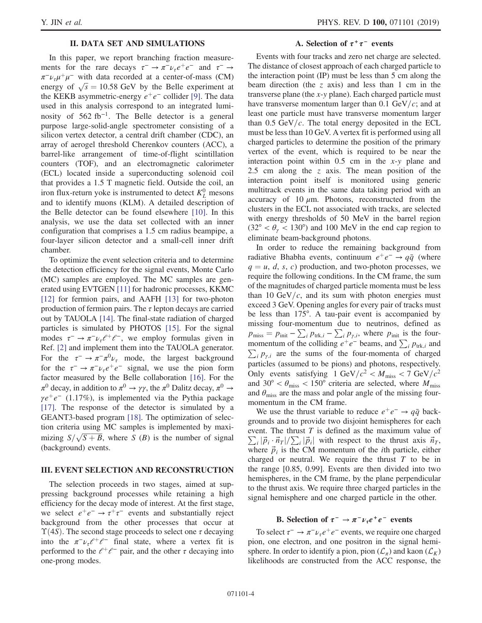# II. DATA SET AND SIMULATIONS

In this paper, we report branching fraction measurements for the rare decays  $\tau^- \to \pi^- \nu_\tau e^+ e^-$  and  $\tau^- \to$  $\pi^- \nu_\tau \mu^+ \mu^-$  with data recorded at a center-of-mass (CM)  $\pi \nu_z \mu^+ \mu^-$  with data recorded at a center-of-mass (CM)<br>energy of  $\sqrt{s} = 10.58$  GeV by the Belle experiment at the KEKB asymmetric-energy  $e^+e^-$  collider [\[9\].](#page-8-4) The data used in this analysis correspond to an integrated luminosity of  $562 \text{ fb}^{-1}$ . The Belle detector is a general purpose large-solid-angle spectrometer consisting of a silicon vertex detector, a central drift chamber (CDC), an array of aerogel threshold Cherenkov counters (ACC), a barrel-like arrangement of time-of-flight scintillation counters (TOF), and an electromagnetic calorimeter (ECL) located inside a superconducting solenoid coil that provides a 1.5 T magnetic field. Outside the coil, an iron flux-return yoke is instrumented to detect  $K<sub>L</sub><sup>0</sup>$  mesons and to identify muons (KLM). A detailed description of the Belle detector can be found elsewhere [\[10\]](#page-8-5). In this analysis, we use the data set collected with an inner configuration that comprises a 1.5 cm radius beampipe, a four-layer silicon detector and a small-cell inner drift chamber.

To optimize the event selection criteria and to determine the detection efficiency for the signal events, Monte Carlo (MC) samples are employed. The MC samples are generated using EVTGEN [\[11\]](#page-8-6) for hadronic processes, KKMC [\[12\]](#page-8-7) for fermion pairs, and AAFH [\[13\]](#page-8-8) for two-photon production of fermion pairs. The  $\tau$  lepton decays are carried out by TAUOLA [\[14\].](#page-8-9) The final-state radiation of charged particles is simulated by PHOTOS [\[15\]](#page-8-10). For the signal modes  $\tau^- \to \pi^- \nu_\tau \ell^+ \ell^-$ , we employ formulas given in Ref. [\[2\]](#page-7-1) and implement them into the TAUOLA generator. For the  $\tau^- \to \pi^- \pi^0 \nu_\tau$  mode, the largest background for the  $\tau^- \to \pi^- \nu_\tau e^+ e^-$  signal, we use the pion form factor measured by the Belle collaboration [\[16\].](#page-8-11) For the  $\pi^0$  decay, in addition to  $\pi^0 \to \gamma \gamma$ , the  $\pi^0$  Dalitz decay,  $\pi^0 \to$  $\gamma e^+e^-$  (1.17%), is implemented via the Pythia package [\[17\]](#page-8-12). The response of the detector is simulated by a GEANT3-based program [\[18\]](#page-8-13). The optimization of selection criteria using MC samples is implemented by maxition criteria using MC samples is implemented by maxi-<br>mizing  $S/\sqrt{S+B}$ , where S (B) is the number of signal (background) events.

#### III. EVENT SELECTION AND RECONSTRUCTION

The selection proceeds in two stages, aimed at suppressing background processes while retaining a high efficiency for the decay mode of interest. At the first stage, we select  $e^+e^- \rightarrow \tau^+\tau^-$  events and substantially reject background from the other processes that occur at  $\Upsilon(4S)$ . The second stage proceeds to select one  $\tau$  decaying into the  $\pi^-\nu_\tau\ell^+\ell^-$  final state, where a vertex fit is performed to the  $\ell^+ \ell^-$  pair, and the other  $\tau$  decaying into one-prong modes.

#### A. Selection of  $\tau^+\tau^-$  events

Events with four tracks and zero net charge are selected. The distance of closest approach of each charged particle to the interaction point (IP) must be less than 5 cm along the beam direction (the z axis) and less than 1 cm in the transverse plane (the x-y plane). Each charged particle must have transverse momentum larger than 0.1  $GeV/c$ ; and at least one particle must have transverse momentum larger than  $0.5 \text{ GeV}/c$ . The total energy deposited in the ECL must be less than 10 GeV. A vertex fit is performed using all charged particles to determine the position of the primary vertex of the event, which is required to be near the interaction point within  $0.5$  cm in the x-y plane and 2.5 cm along the z axis. The mean position of the interaction point itself is monitored using generic multitrack events in the same data taking period with an accuracy of 10  $\mu$ m. Photons, reconstructed from the clusters in the ECL not associated with tracks, are selected with energy thresholds of 50 MeV in the barrel region  $(32^{\circ} < \theta_{\gamma} < 130^{\circ})$  and 100 MeV in the end cap region to eliminate beam-background photons.

In order to reduce the remaining background from radiative Bhabha events, continuum  $e^+e^- \rightarrow q\bar{q}$  (where  $q = u, d, s, c$  production, and two-photon processes, we require the following conditions. In the CM frame, the sum of the magnitudes of charged particle momenta must be less than 10 GeV/ $c$ , and its sum with photon energies must exceed 3 GeV. Opening angles for every pair of tracks must be less than 175°. A tau-pair event is accompanied by missing four-momentum due to neutrinos, defined as  $p_{\text{miss}} = p_{\text{init}} - \sum_i p_{\text{trk},i} - \sum_i p_{\gamma,i}$ , where  $p_{\text{init}}$  is the four $p_{\text{miss}} = p_{\text{init}} - \sum_i p_{\text{trk},i} - \sum_i p_{\gamma,i}$ , where  $p_{\text{init}}$  is the four-<br>momentum of the colliding  $e^+e^-$  beams, and  $\sum_i p_{\text{trk},i}$  and  $\sum_i p_{\gamma,i}$  are the sums of the four-momenta of charged particles (assumed to be pions) and photons, respectively. Only events satisfying 1 GeV/ $c^2 < M_{\text{miss}} < 7 \text{ GeV}/c^2$ and 30° <  $\theta_{\text{miss}}$  < 150° criteria are selected, where  $M_{\text{miss}}$ and  $\theta_{\text{miss}}$  are the mass and polar angle of the missing fourmomentum in the CM frame.

We use the thrust variable to reduce  $e^+e^- \rightarrow q\bar{q}$  backgrounds and to provide two disjoint hemispheres for each event. The thrust  $T$  is defined as the maximum value of  $\sum_i |\vec{p}_i \cdot \vec{n}_T| / \sum_i |\vec{p}_i|$  with respect to the thrust axis  $\vec{n}_T$ , where  $\vec{p}_i$  is the CM momentum of the *i*th particle, either charged or neutral. We require the thrust  $T$  to be in the range [0.85, 0.99]. Events are then divided into two hemispheres, in the CM frame, by the plane perpendicular to the thrust axis. We require three charged particles in the signal hemisphere and one charged particle in the other.

# B. Selection of  $\tau^- \to \pi^- \nu_\tau e^+ e^-$  events

<span id="page-3-0"></span>To select  $\tau^- \to \pi^- \nu_\tau e^+ e^-$  events, we require one charged pion, one electron, and one positron in the signal hemisphere. In order to identify a pion, pion  $(\mathcal{L}_\pi)$  and kaon  $(\mathcal{L}_K)$ likelihoods are constructed from the ACC response, the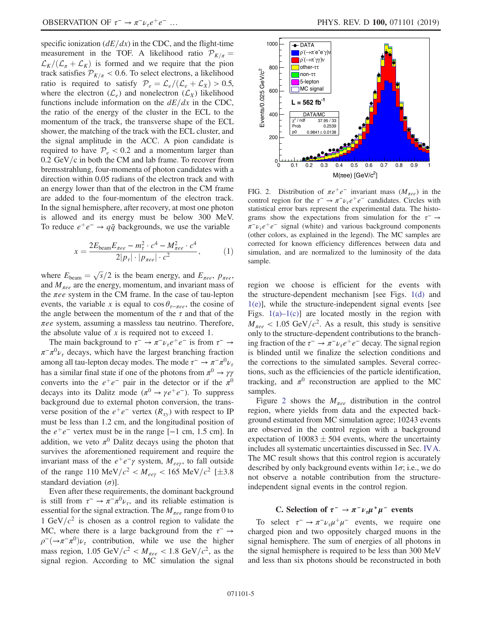specific ionization  $\left(\frac{dE}{dx}\right)$  in the CDC, and the flight-time measurement in the TOF. A likelihood ratio  $\mathcal{P}_{K/\pi}$  =  $\mathcal{L}_K/(\mathcal{L}_{\pi}+\mathcal{L}_K)$  is formed and we require that the pion track satisfies  $P_{K/\pi}$  < 0.6. To select electrons, a likelihood ratio is required to satisfy  $P_e = \mathcal{L}_e/(\mathcal{L}_e + \mathcal{L}_X) > 0.5$ , where the electron  $(\mathcal{L}_e)$  and nonelectron  $(\mathcal{L}_X)$  likelihood functions include information on the  $dE/dx$  in the CDC, the ratio of the energy of the cluster in the ECL to the momentum of the track, the transverse shape of the ECL shower, the matching of the track with the ECL cluster, and the signal amplitude in the ACC. A pion candidate is required to have  $P_e < 0.2$  and a momentum larger than  $0.2 \text{ GeV/c}$  in both the CM and lab frame. To recover from bremsstrahlung, four-momenta of photon candidates with a direction within 0.05 radians of the electron track and with an energy lower than that of the electron in the CM frame are added to the four-momentum of the electron track. In the signal hemisphere, after recovery, at most one photon is allowed and its energy must be below 300 MeV. To reduce  $e^+e^- \rightarrow q\bar{q}$  backgrounds, we use the variable

$$
x = \frac{2E_{\text{beam}}E_{\pi ee} - m_{\tau}^2 \cdot c^4 - M_{\pi ee}^2 \cdot c^4}{2|p_{\tau}| \cdot |p_{\pi ee}| \cdot c^2},\tag{1}
$$

where  $E_{\text{beam}} = \sqrt{s}/2$  is the beam energy, and  $E_{\pi ee}$ ,  $p_{\pi ee}$ , and  $M_{\pi ee}$  are the energy, momentum, and invariant mass of the  $\pi ee$  system in the CM frame. In the case of tau-lepton events, the variable x is equal to  $\cos \theta_{\tau-\pi ee}$ , the cosine of the angle between the momentum of the  $\tau$  and that of the  $\pi ee$  system, assuming a massless tau neutrino. Therefore, the absolute value of  $x$  is required not to exceed 1.

The main background to  $\tau^- \to \pi^- \nu_\tau e^+ e^-$  is from  $\tau^- \to$  $\pi^{-} \pi^{0} \nu_{\tau}$  decays, which have the largest branching fraction among all tau-lepton decay modes. The mode  $\tau^- \to \pi^- \pi^0 \nu_\tau$ has a similar final state if one of the photons from  $\pi^0 \to \gamma \gamma$ converts into the  $e^+e^-$  pair in the detector or if the  $\pi^0$ decays into its Dalitz mode ( $\pi^0 \rightarrow \gamma e^+e^-$ ). To suppress background due to external photon conversion, the transverse position of the  $e^+e^-$  vertex  $(R_{xy})$  with respect to IP must be less than 1.2 cm, and the longitudinal position of the  $e^+e^-$  vertex must be in the range [−1 cm, 1.5 cm]. In addition, we veto  $\pi^0$  Dalitz decays using the photon that survives the aforementioned requirement and require the invariant mass of the  $e^+e^-\gamma$  system,  $M_{ee\gamma}$ , to fall outside of the range 110 MeV/ $c^2 < M_{eev} < 165$  MeV/ $c^2$  [ $\pm 3.8$ ] standard deviation  $(\sigma)$ ].

Even after these requirements, the dominant background is still from  $\tau^- \to \pi^- \pi^0 \nu_\tau$ , and its reliable estimation is essential for the signal extraction. The  $M_{\pi ee}$  range from 0 to 1 GeV/ $c^2$  is chosen as a control region to validate the MC, where there is a large background from the  $\tau^- \rightarrow$  $\rho^-(\rightarrow \pi^-\pi^0)\nu_{\tau}$  contribution, while we use the higher mass region, 1.05 GeV/ $c^2 < M_{\pi ee} < 1.8$  GeV/ $c^2$ , as the signal region. According to MC simulation the signal

<span id="page-4-0"></span>

FIG. 2. Distribution of  $\pi e^+e^-$  invariant mass  $(M_{\pi ee})$  in the control region for the  $\tau^- \to \pi^- \nu_\tau e^+ e^-$  candidates. Circles with statistical error bars represent the experimental data. The histograms show the expectations from simulation for the  $\tau^- \rightarrow$  $\pi^-\nu_e e^+e^-$  signal (white) and various background components (other colors, as explained in the legend). The MC samples are corrected for known efficiency differences between data and simulation, and are normalized to the luminosity of the data sample.

region we choose is efficient for the events with the structure-dependent mechanism [see Figs. [1\(d\)](#page-2-0) and [1\(e\)\]](#page-2-0), while the structure-independent signal events [see Figs.  $1(a)-1(c)$ ] are located mostly in the region with  $M_{\pi ee}$  < 1.05 GeV/ $c^2$ . As a result, this study is sensitive only to the structure-dependent contributions to the branching fraction of the  $\tau^- \to \pi^- \nu_\tau e^+ e^-$  decay. The signal region is blinded until we finalize the selection conditions and the corrections to the simulated samples. Several corrections, such as the efficiencies of the particle identification, tracking, and  $\pi^0$  reconstruction are applied to the MC samples.

Figure [2](#page-4-0) shows the  $M_{\pi ee}$  distribution in the control region, where yields from data and the expected background estimated from MC simulation agree; 10243 events are observed in the control region with a background expectation of  $10083 \pm 504$  events, where the uncertainty includes all systematic uncertainties discussed in Sec. [IVA](#page-5-0). The MC result shows that this control region is accurately described by only background events within  $1\sigma$ ; i.e., we do not observe a notable contribution from the structureindependent signal events in the control region.

# C. Selection of  $\tau^- \to \pi^- \nu_\tau \mu^+ \mu^-$  events

To select  $\tau^- \to \pi^- \nu_\tau \mu^+ \mu^-$  events, we require one charged pion and two oppositely charged muons in the signal hemisphere. The sum of energies of all photons in the signal hemisphere is required to be less than 300 MeV and less than six photons should be reconstructed in both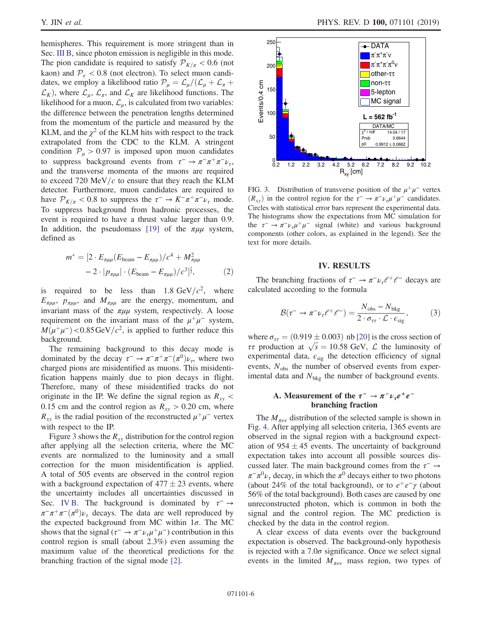hemispheres. This requirement is more stringent than in Sec. [III B](#page-3-0), since photon emission is negligible in this mode. The pion candidate is required to satisfy  $\mathcal{P}_{K/\pi}$  < 0.6 (not kaon) and  $P_e$  < 0.8 (not electron). To select muon candidates, we employ a likelihood ratio  $P_{\mu} = \mathcal{L}_{\mu} / (\mathcal{L}_{\mu} + \mathcal{L}_{\pi} +$  $\mathcal{L}_K$ ), where  $\mathcal{L}_\mu$ ,  $\mathcal{L}_\pi$ , and  $\mathcal{L}_K$  are likelihood functions. The likelihood for a muon,  $\mathcal{L}_{\mu}$ , is calculated from two variables: the difference between the penetration lengths determined from the momentum of the particle and measured by the KLM, and the  $\chi^2$  of the KLM hits with respect to the track extrapolated from the CDC to the KLM. A stringent condition  $P_u > 0.97$  is imposed upon muon candidates to suppress background events from  $\tau^- \to \pi^- \pi^+ \pi^- \nu_{\tau}$ , and the transverse momenta of the muons are required to exceed 720 MeV/ $c$  to ensure that they reach the KLM detector. Furthermore, muon candidates are required to have  $\mathcal{P}_{K/\pi}$  < 0.8 to suppress the  $\tau^- \to K^-\pi^+\pi^-\nu_{\tau}$  mode. To suppress background from hadronic processes, the event is required to have a thrust value larger than 0.9. In addition, the pseudomass [\[19\]](#page-8-14) of the  $\pi\mu\mu$  system, defined as

$$
m^* = [2 \cdot E_{\pi\mu\mu} (E_{\text{beam}} - E_{\pi\mu\mu})/c^4 + M_{\pi\mu\mu}^2
$$

$$
- 2 \cdot |p_{\pi\mu\mu}| \cdot (E_{\text{beam}} - E_{\pi\mu\mu})/c^3]^{\frac{1}{2}}, \qquad (2)
$$

is required to be less than 1.8  $GeV/c^2$ , where  $E_{\pi\mu\mu}$ ,  $p_{\pi\mu\mu}$ , and  $M_{\pi\mu\mu}$  are the energy, momentum, and invariant mass of the  $\pi\mu\mu$  system, respectively. A loose requirement on the invariant mass of the  $\mu^+\mu^-$  system,  $M(\mu^+\mu^-)$  < 0.85 GeV/ $c^2$ , is applied to further reduce this background.

The remaining background to this decay mode is dominated by the decay  $\tau^- \to \pi^- \pi^+ \pi^- (\pi^0) \nu_{\tau}$ , where two charged pions are misidentified as muons. This misidentification happens mainly due to pion decays in flight. Therefore, many of these misidentified tracks do not originate in the IP. We define the signal region as  $R_{xy}$  < 0.15 cm and the control region as  $R_{xy} > 0.20$  cm, where  $R_{xy}$  is the radial position of the reconstructed  $\mu^+\mu^-$  vertex with respect to the IP.

Figure [3](#page-5-1) shows the  $R_{xy}$  distribution for the control region after applying all the selection criteria, where the MC events are normalized to the luminosity and a small correction for the muon misidentification is applied. A total of 505 events are observed in the control region with a background expectation of  $477 \pm 23$  events, where the uncertainty includes all uncertainties discussed in Sec. [IV B.](#page-6-0) The background is dominated by  $\tau^- \rightarrow$  $\pi^-\pi^+\pi^-(\pi^0)\nu_\tau$  decays. The data are well reproduced by the expected background from MC within  $1\sigma$ . The MC shows that the signal ( $\tau^- \to \pi^- \nu_\tau \mu^+ \mu^-$ ) contribution in this control region is small (about 2.3%) even assuming the maximum value of the theoretical predictions for the branching fraction of the signal mode [\[2\].](#page-7-1)

<span id="page-5-1"></span>

FIG. 3. Distribution of transverse position of the  $\mu^+\mu^-$  vertex  $(R_{xy})$  in the control region for the  $\tau^- \to \pi^- \nu_\tau \mu^+ \mu^-$  candidates. Circles with statistical error bars represent the experimental data. The histograms show the expectations from MC simulation for the  $\tau^-$  →  $\pi^- \nu_\tau \mu^+ \mu^-$  signal (white) and various background components (other colors, as explained in the legend). See the text for more details.

#### IV. RESULTS

The branching fractions of  $\tau^- \to \pi^- \nu_\tau \ell^+ \ell^-$  decays are calculated according to the formula

$$
\mathcal{B}(\tau^- \to \pi^- \nu_\tau \ell^+ \ell^-) = \frac{N_{\text{obs}} - N_{\text{bkg}}}{2 \cdot \sigma_{\tau \tau} \cdot \mathcal{L} \cdot \epsilon_{\text{sig}}},\tag{3}
$$

where  $\sigma_{\tau\tau} = (0.919 \pm 0.003)$  nb [\[20\]](#page-8-15) is the cross section of where  $\sigma_{\tau\tau} = (0.919 \pm 0.003)$  nb [20] is the cross section of  $\tau\tau$  production at  $\sqrt{s} = 10.58$  GeV,  $\mathcal{L}$  the luminosity of experimental data,  $\epsilon_{sig}$  the detection efficiency of signal events,  $N_{obs}$  the number of observed events from experimental data and  $N_{bkg}$  the number of background events.

### <span id="page-5-0"></span>A. Measurement of the  $\tau^- \to \pi^- \nu_\tau e^+ e^$ branching fraction

The  $M_{\pi ee}$  distribution of the selected sample is shown in Fig. [4](#page-6-1). After applying all selection criteria, 1365 events are observed in the signal region with a background expectation of  $954 \pm 45$  events. The uncertainty of background expectation takes into account all possible sources discussed later. The main background comes from the  $\tau^-$  →  $\pi^{-} \pi^{0} \nu_{\tau}$  decay, in which the  $\pi^{0}$  decays either to two photons (about 24% of the total background), or to  $e^+e^-\gamma$  (about 56% of the total background). Both cases are caused by one unreconstructed photon, which is common in both the signal and the control region. The MC prediction is checked by the data in the control region.

A clear excess of data events over the background expectation is observed. The background-only hypothesis is rejected with a  $7.0\sigma$  significance. Once we select signal events in the limited  $M_{\pi ee}$  mass region, two types of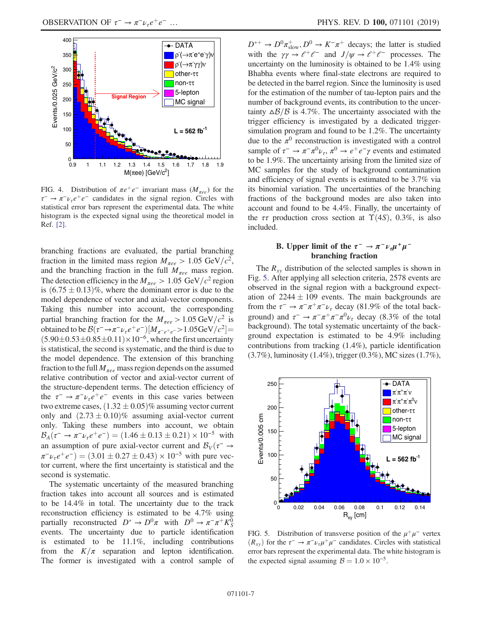<span id="page-6-1"></span>

FIG. 4. Distribution of  $\pi e^+e^-$  invariant mass  $(M_{\pi ee})$  for the  $\tau^-$  →  $\pi^- \nu_\tau e^+ e^-$  candidates in the signal region. Circles with statistical error bars represent the experimental data. The white histogram is the expected signal using the theoretical model in Ref. [\[2\]](#page-7-1).

branching fractions are evaluated, the partial branching fraction in the limited mass region  $M_{\pi ee} > 1.05 \text{ GeV}/c^2$ , and the branching fraction in the full  $M_{\pi ee}$  mass region. The detection efficiency in the  $M_{\pi ee} > 1.05 \text{ GeV}/c^2$  region is  $(6.75 \pm 0.13)\%$ , where the dominant error is due to the model dependence of vector and axial-vector components. Taking this number into account, the corresponding partial branching fraction for the  $M_{\pi ee} > 1.05 \,\text{GeV}/c^2$  is obtained to be  $\mathcal{B}(\tau^- \to \pi^- \nu_\tau e^+ e^-) [M_{\pi^- e^+ e^-} > 1.05 \text{GeV}/c^2] =$  $(5.90\pm0.53\pm0.85\pm0.11)\times10^{-6}$ , where the first uncertainty is statistical, the second is systematic, and the third is due to the model dependence. The extension of this branching fraction to the full  $M_{\pi ee}$  mass region depends on the assumed relative contribution of vector and axial-vector current of the structure-dependent terms. The detection efficiency of the  $\tau^-$  →  $\pi^- \nu_\tau e^+ e^-$  events in this case varies between two extreme cases,  $(1.32 \pm 0.05)\%$  assuming vector current only and  $(2.73 \pm 0.10)\%$  assuming axial-vector current only. Taking these numbers into account, we obtain  $B_A(\tau^- \to \pi^- \nu_\tau e^+ e^-) = (1.46 \pm 0.13 \pm 0.21) \times 10^{-5}$  with an assumption of pure axial-vector current and  $\mathcal{B}_V(\tau^- \to$  $\pi^-\nu_\tau e^+e^-$  = (3.01  $\pm$  0.27  $\pm$  0.43) × 10<sup>-5</sup> with pure vector current, where the first uncertainty is statistical and the second is systematic.

The systematic uncertainty of the measured branching fraction takes into account all sources and is estimated to be 14.4% in total. The uncertainty due to the track reconstruction efficiency is estimated to be 4.7% using partially reconstructed  $D^* \to D^0 \pi$  with  $D^0 \to \pi^- \pi^+ K^0_S$ events. The uncertainty due to particle identification is estimated to be 11.1%, including contributions from the  $K/\pi$  separation and lepton identification. The former is investigated with a control sample of

 $D^{*+} \to D^0 \pi_{slow}^+$ ,  $D^0 \to K^- \pi^+$  decays; the latter is studied with the  $\gamma \gamma \to \ell^+ \ell^-$  and  $J/\psi \to \ell^+ \ell^-$  processes. The uncertainty on the luminosity is obtained to be 1.4% using Bhabha events where final-state electrons are required to be detected in the barrel region. Since the luminosity is used for the estimation of the number of tau-lepton pairs and the number of background events, its contribution to the uncertainty  $\Delta \mathcal{B}/\mathcal{B}$  is 4.7%. The uncertainty associated with the trigger efficiency is investigated by a dedicated triggersimulation program and found to be 1.2%. The uncertainty due to the  $\pi^0$  reconstruction is investigated with a control sample of  $\tau^- \to \pi^- \pi^0 \nu_\tau$ ,  $\pi^0 \to e^+ e^- \gamma$  events and estimated to be 1.9%. The uncertainty arising from the limited size of MC samples for the study of background contamination and efficiency of signal events is estimated to be 3.7% via its binomial variation. The uncertainties of the branching fractions of the background modes are also taken into account and found to be 4.4%. Finally, the uncertainty of the  $\tau\tau$  production cross section at  $\Upsilon(4S)$ , 0.3%, is also included.

# <span id="page-6-0"></span>B. Upper limit of the  $\tau^- \to \pi^- \nu_{\tau} \mu^+ \mu^$ branching fraction

The  $R_{xy}$  distribution of the selected samples is shown in Fig. [5](#page-6-2). After applying all selection criteria, 2578 events are observed in the signal region with a background expectation of  $2244 \pm 109$  events. The main backgrounds are from the  $\tau^-$  →  $\pi^- \pi^+ \pi^- \nu_\tau$  decay (81.9% of the total background) and  $\tau^- \to \pi^- \pi^+ \pi^- \pi^0 \nu_\tau$  decay (8.3% of the total background). The total systematic uncertainty of the background expectation is estimated to be 4.9% including contributions from tracking (1.4%), particle identification (3.7%), luminosity (1.4%), trigger (0.3%), MC sizes (1.7%),

<span id="page-6-2"></span>

FIG. 5. Distribution of transverse position of the  $\mu^+ \mu^-$  vertex  $(R_{xy})$  for the  $\tau^- \to \pi^- \nu_\tau \mu^+ \mu^-$  candidates. Circles with statistical error bars represent the experimental data. The white histogram is the expected signal assuming  $\beta = 1.0 \times 10^{-5}$ .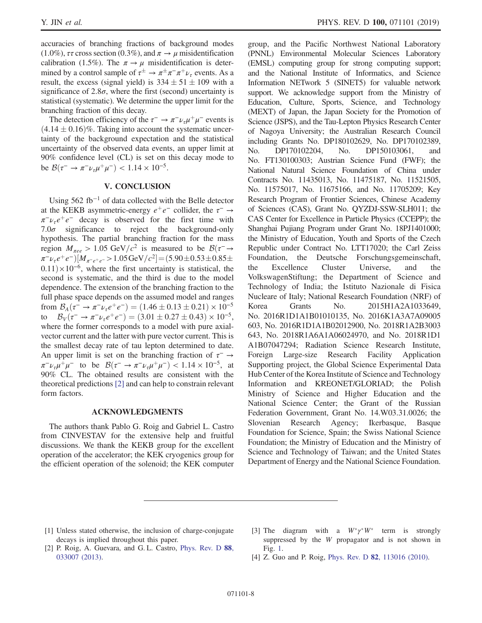accuracies of branching fractions of background modes  $(1.0\%)$ ,  $\tau\tau$  cross section  $(0.3\%)$ , and  $\pi \rightarrow \mu$  misidentification calibration (1.5%). The  $\pi \to \mu$  misidentification is determined by a control sample of  $\tau^{\pm} \to \pi^{\pm} \pi^{-} \pi^{+} \nu_{\tau}$  events. As a result, the excess (signal yield) is  $334 \pm 51 \pm 109$  with a significance of  $2.8\sigma$ , where the first (second) uncertainty is statistical (systematic). We determine the upper limit for the branching fraction of this decay.

The detection efficiency of the  $\tau^- \to \pi^- \nu_\tau \mu^+ \mu^-$  events is  $(4.14 \pm 0.16)\%$ . Taking into account the systematic uncertainty of the background expectation and the statistical uncertainty of the observed data events, an upper limit at 90% confidence level (CL) is set on this decay mode to be  $\mathcal{B}(\tau^- \to \pi^- \nu_\tau \mu^+ \mu^-) < 1.14 \times 10^{-5}$ .

# V. CONCLUSION

Using  $562$  fb<sup>-1</sup> of data collected with the Belle detector at the KEKB asymmetric-energy  $e^+e^-$  collider, the  $\tau^- \rightarrow$  $\pi^-\nu_\tau e^+e^-$  decay is observed for the first time with  $7.0\sigma$  significance to reject the background-only hypothesis. The partial branching fraction for the mass region  $M_{\pi ee} > 1.05 \text{ GeV}/c^2$  is measured to be  $\mathcal{B}(\tau \rightarrow$  $\pi^-\nu_\tau e^+e^-$ )[ $M_{\pi^-e^+e^-}$  > 1.05 GeV/ $c^2$ ] = (5.90 $\pm$ 0.53 $\pm$ 0.85 $\pm$  $0.11) \times 10^{-6}$ , where the first uncertainty is statistical, the second is systematic, and the third is due to the model dependence. The extension of the branching fraction to the full phase space depends on the assumed model and ranges from  $\mathcal{B}_A(\tau^- \to \pi^- \nu_\tau e^+ e^-) = (1.46 \pm 0.13 \pm 0.21) \times 10^{-5}$ to  $\mathcal{B}_{V}(\tau^{-} \to \pi^{-} \nu_{\tau} e^{+} e^{-}) = (3.01 \pm 0.27 \pm 0.43) \times 10^{-5}$ , where the former corresponds to a model with pure axialvector current and the latter with pure vector current. This is the smallest decay rate of tau lepton determined to date. An upper limit is set on the branching fraction of  $\tau^- \rightarrow$  $\pi^- \nu_\tau \mu^+ \mu^-$  to be  $\mathcal{B}(\tau^- \to \pi^- \nu_\tau \mu^+ \mu^-) < 1.14 \times 10^{-5}$ , at 90% CL. The obtained results are consistent with the theoretical predictions [\[2\]](#page-7-1) and can help to constrain relevant form factors.

### ACKNOWLEDGMENTS

The authors thank Pablo G. Roig and Gabriel L. Castro from CINVESTAV for the extensive help and fruitful discussions. We thank the KEKB group for the excellent operation of the accelerator; the KEK cryogenics group for the efficient operation of the solenoid; the KEK computer group, and the Pacific Northwest National Laboratory (PNNL) Environmental Molecular Sciences Laboratory (EMSL) computing group for strong computing support; and the National Institute of Informatics, and Science Information NETwork 5 (SINET5) for valuable network support. We acknowledge support from the Ministry of Education, Culture, Sports, Science, and Technology (MEXT) of Japan, the Japan Society for the Promotion of Science (JSPS), and the Tau-Lepton Physics Research Center of Nagoya University; the Australian Research Council including Grants No. DP180102629, No. DP170102389, No. DP170102204, No. DP150103061, and No. FT130100303; Austrian Science Fund (FWF); the National Natural Science Foundation of China under Contracts No. 11435013, No. 11475187, No. 11521505, No. 11575017, No. 11675166, and No. 11705209; Key Research Program of Frontier Sciences, Chinese Academy of Sciences (CAS), Grant No. QYZDJ-SSW-SLH011; the CAS Center for Excellence in Particle Physics (CCEPP); the Shanghai Pujiang Program under Grant No. 18PJ1401000; the Ministry of Education, Youth and Sports of the Czech Republic under Contract No. LTT17020; the Carl Zeiss Foundation, the Deutsche Forschungsgemeinschaft, the Excellence Cluster Universe, and the VolkswagenStiftung; the Department of Science and Technology of India; the Istituto Nazionale di Fisica Nucleare of Italy; National Research Foundation (NRF) of Korea Grants No. 2015H1A2A1033649, No. 2016R1D1A1B01010135, No. 2016K1A3A7A09005 603, No. 2016R1D1A1B02012900, No. 2018R1A2B3003 643, No. 2018R1A6A1A06024970, and No. 2018R1D1 A1B07047294; Radiation Science Research Institute, Foreign Large-size Research Facility Application Supporting project, the Global Science Experimental Data Hub Center of the Korea Institute of Science and Technology Information and KREONET/GLORIAD; the Polish Ministry of Science and Higher Education and the National Science Center; the Grant of the Russian Federation Government, Grant No. 14.W03.31.0026; the Slovenian Research Agency; Ikerbasque, Basque Foundation for Science, Spain; the Swiss National Science Foundation; the Ministry of Education and the Ministry of Science and Technology of Taiwan; and the United States Department of Energy and the National Science Foundation.

- <span id="page-7-0"></span>[1] Unless stated otherwise, the inclusion of charge-conjugate decays is implied throughout this paper.
- <span id="page-7-2"></span>[3] The diagram with a  $W^* \gamma^* W^*$  term is strongly suppressed by the W propagator and is not shown in Fig. [1.](#page-2-0)
- <span id="page-7-1"></span>[2] P. Roig, A. Guevara, and G.L. Castro, [Phys. Rev. D](https://doi.org/10.1103/PhysRevD.88.033007) 88, [033007 \(2013\).](https://doi.org/10.1103/PhysRevD.88.033007)
- <span id="page-7-3"></span>[4] Z. Guo and P. Roig, Phys. Rev. D 82[, 113016 \(2010\).](https://doi.org/10.1103/PhysRevD.82.113016)